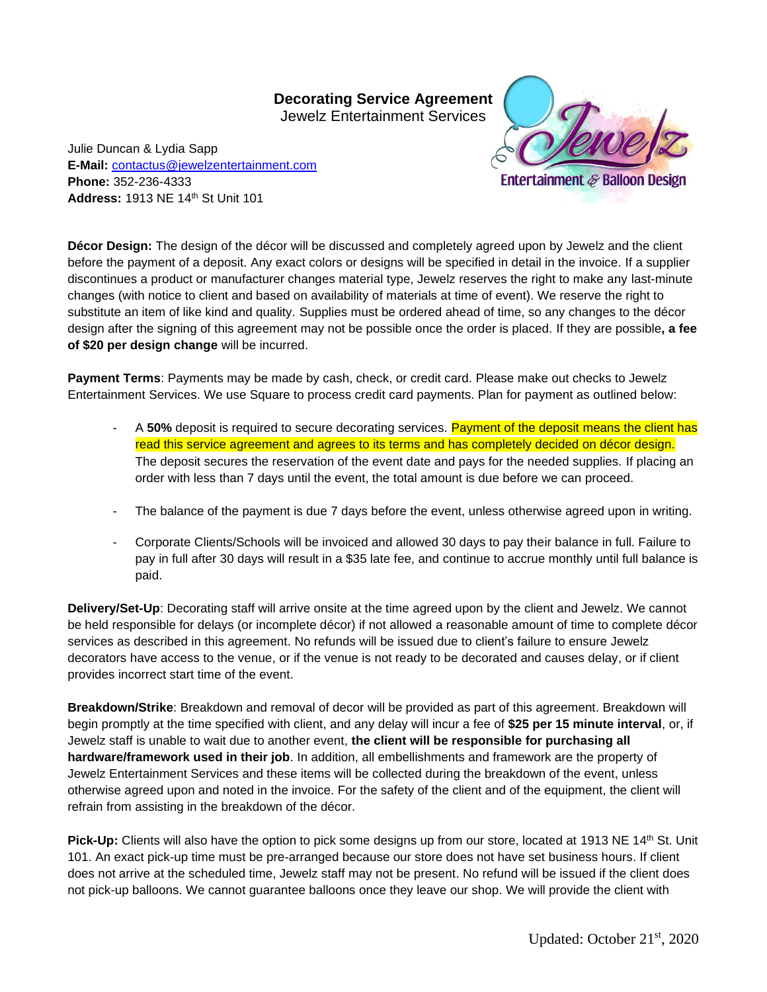## **Decorating Service Agreement**

Jewelz Entertainment Services

Julie Duncan & Lydia Sapp **E-Mail:** [contactus@jewelzentertainment.com](mailto:contactus@jewelzentertainment.com) **Phone:** 352-236-4333 **Address:** 1913 NE 14th St Unit 101



**Décor Design:** The design of the décor will be discussed and completely agreed upon by Jewelz and the client before the payment of a deposit. Any exact colors or designs will be specified in detail in the invoice. If a supplier discontinues a product or manufacturer changes material type, Jewelz reserves the right to make any last-minute changes (with notice to client and based on availability of materials at time of event). We reserve the right to substitute an item of like kind and quality. Supplies must be ordered ahead of time, so any changes to the décor design after the signing of this agreement may not be possible once the order is placed. If they are possible**, a fee of \$20 per design change** will be incurred.

**Payment Terms**: Payments may be made by cash, check, or credit card. Please make out checks to Jewelz Entertainment Services. We use Square to process credit card payments. Plan for payment as outlined below:

- A 50% deposit is required to secure decorating services. Payment of the deposit means the client has read this service agreement and agrees to its terms and has completely decided on décor design. The deposit secures the reservation of the event date and pays for the needed supplies. If placing an order with less than 7 days until the event, the total amount is due before we can proceed.
- The balance of the payment is due 7 days before the event, unless otherwise agreed upon in writing.
- Corporate Clients/Schools will be invoiced and allowed 30 days to pay their balance in full. Failure to pay in full after 30 days will result in a \$35 late fee, and continue to accrue monthly until full balance is paid.

**Delivery/Set-Up**: Decorating staff will arrive onsite at the time agreed upon by the client and Jewelz. We cannot be held responsible for delays (or incomplete décor) if not allowed a reasonable amount of time to complete décor services as described in this agreement. No refunds will be issued due to client's failure to ensure Jewelz decorators have access to the venue, or if the venue is not ready to be decorated and causes delay, or if client provides incorrect start time of the event.

**Breakdown/Strike**: Breakdown and removal of decor will be provided as part of this agreement. Breakdown will begin promptly at the time specified with client, and any delay will incur a fee of **\$25 per 15 minute interval**, or, if Jewelz staff is unable to wait due to another event, **the client will be responsible for purchasing all hardware/framework used in their job**. In addition, all embellishments and framework are the property of Jewelz Entertainment Services and these items will be collected during the breakdown of the event, unless otherwise agreed upon and noted in the invoice. For the safety of the client and of the equipment, the client will refrain from assisting in the breakdown of the décor.

Pick-Up: Clients will also have the option to pick some designs up from our store, located at 1913 NE 14<sup>th</sup> St. Unit 101. An exact pick-up time must be pre-arranged because our store does not have set business hours. If client does not arrive at the scheduled time, Jewelz staff may not be present. No refund will be issued if the client does not pick-up balloons. We cannot guarantee balloons once they leave our shop. We will provide the client with